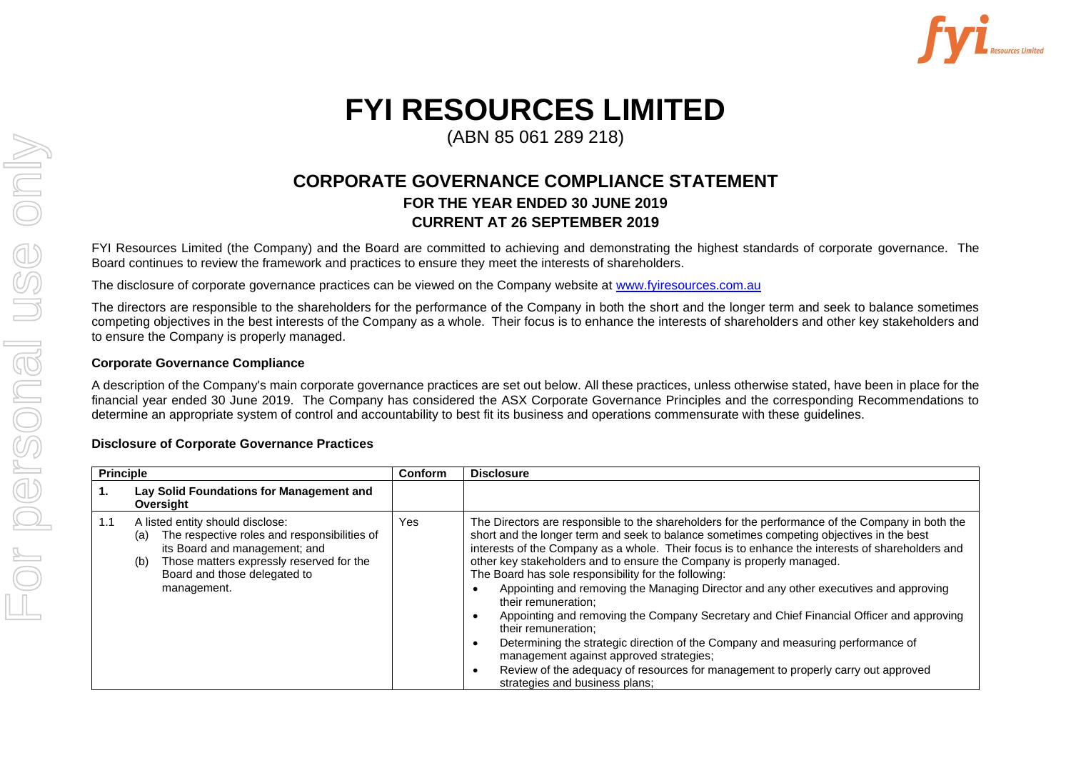

## **FYI RESOURCES LIMITED**

(ABN 85 061 289 218)

## **CORPORATE GOVERNANCE COMPLIANCE STATEMENT FOR THE YEAR ENDED 30 JUNE 2019 CURRENT AT 26 SEPTEMBER 2019**

FYI Resources Limited (the Company) and the Board are committed to achieving and demonstrating the highest standards of corporate governance. The Board continues to review the framework and practices to ensure they meet the interests of shareholders.

The disclosure of corporate governance practices can be viewed on the Company website at [www.fyiresources.com.au](http://www.fyiresources.com.au/)

The directors are responsible to the shareholders for the performance of the Company in both the short and the longer term and seek to balance sometimes competing objectives in the best interests of the Company as a whole. Their focus is to enhance the interests of shareholders and other key stakeholders and to ensure the Company is properly managed.

## **Corporate Governance Compliance**

A description of the Company's main corporate governance practices are set out below. All these practices, unless otherwise stated, have been in place for the financial year ended 30 June 2019. The Company has considered the ASX Corporate Governance Principles and the corresponding Recommendations to determine an appropriate system of control and accountability to best fit its business and operations commensurate with these guidelines.

## **Disclosure of Corporate Governance Practices**

| <b>Principle</b> |                                                                                                                                                                                                                            | Conform | <b>Disclosure</b>                                                                                                                                                                                                                                                                                                                                                                                                                                                                                                                                                                                                                                                                                                                                                                                                                                                                                                                                 |
|------------------|----------------------------------------------------------------------------------------------------------------------------------------------------------------------------------------------------------------------------|---------|---------------------------------------------------------------------------------------------------------------------------------------------------------------------------------------------------------------------------------------------------------------------------------------------------------------------------------------------------------------------------------------------------------------------------------------------------------------------------------------------------------------------------------------------------------------------------------------------------------------------------------------------------------------------------------------------------------------------------------------------------------------------------------------------------------------------------------------------------------------------------------------------------------------------------------------------------|
| 1.               | Lay Solid Foundations for Management and<br>Oversight                                                                                                                                                                      |         |                                                                                                                                                                                                                                                                                                                                                                                                                                                                                                                                                                                                                                                                                                                                                                                                                                                                                                                                                   |
| 1.1              | A listed entity should disclose:<br>The respective roles and responsibilities of<br>(a)<br>its Board and management; and<br>Those matters expressly reserved for the<br>(b)<br>Board and those delegated to<br>management. | Yes     | The Directors are responsible to the shareholders for the performance of the Company in both the<br>short and the longer term and seek to balance sometimes competing objectives in the best<br>interests of the Company as a whole. Their focus is to enhance the interests of shareholders and<br>other key stakeholders and to ensure the Company is properly managed.<br>The Board has sole responsibility for the following:<br>Appointing and removing the Managing Director and any other executives and approving<br>their remuneration:<br>Appointing and removing the Company Secretary and Chief Financial Officer and approving<br>$\bullet$<br>their remuneration:<br>Determining the strategic direction of the Company and measuring performance of<br>$\bullet$<br>management against approved strategies;<br>Review of the adequacy of resources for management to properly carry out approved<br>strategies and business plans; |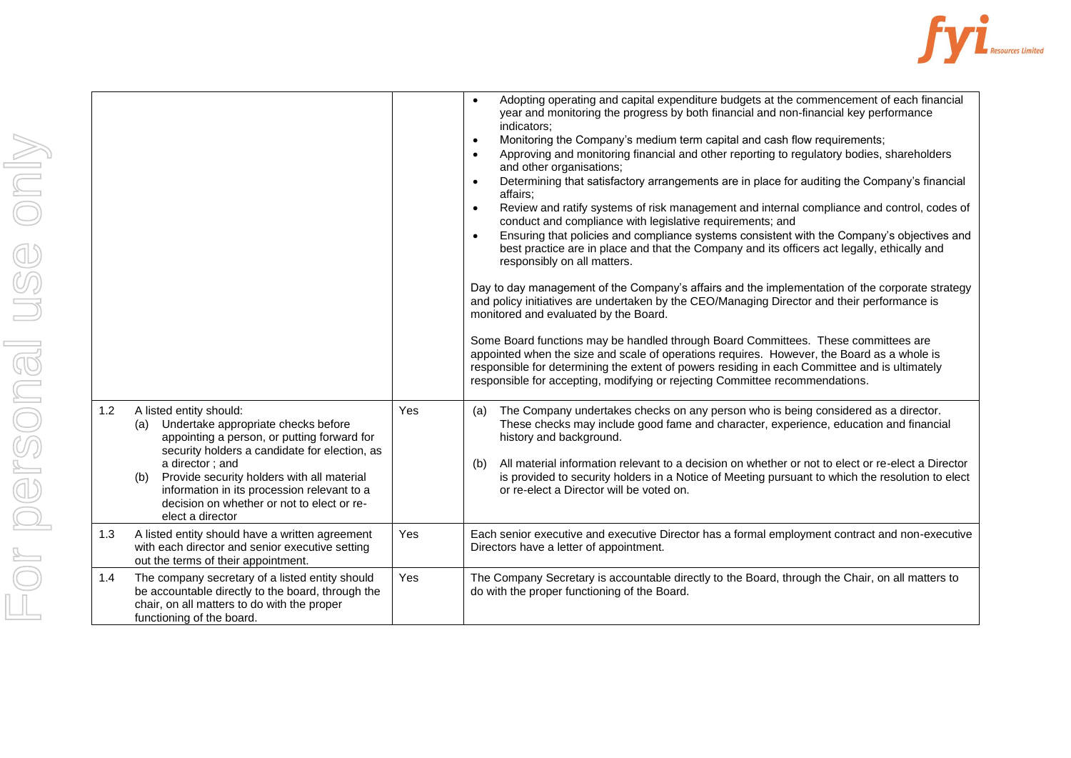

|     |                                                                                                                                                                                                                                                                                                                                                             |     | Adopting operating and capital expenditure budgets at the commencement of each financial<br>year and monitoring the progress by both financial and non-financial key performance<br>indicators;<br>Monitoring the Company's medium term capital and cash flow requirements;<br>$\bullet$                                                                                                                                                                                                                                                                                                                                                                                                                                                                                                                                                                                                                                                                                                                                                                                                                                                                                                                                                                                                     |
|-----|-------------------------------------------------------------------------------------------------------------------------------------------------------------------------------------------------------------------------------------------------------------------------------------------------------------------------------------------------------------|-----|----------------------------------------------------------------------------------------------------------------------------------------------------------------------------------------------------------------------------------------------------------------------------------------------------------------------------------------------------------------------------------------------------------------------------------------------------------------------------------------------------------------------------------------------------------------------------------------------------------------------------------------------------------------------------------------------------------------------------------------------------------------------------------------------------------------------------------------------------------------------------------------------------------------------------------------------------------------------------------------------------------------------------------------------------------------------------------------------------------------------------------------------------------------------------------------------------------------------------------------------------------------------------------------------|
|     |                                                                                                                                                                                                                                                                                                                                                             |     | Approving and monitoring financial and other reporting to regulatory bodies, shareholders<br>$\bullet$<br>and other organisations;<br>Determining that satisfactory arrangements are in place for auditing the Company's financial<br>$\bullet$<br>affairs;<br>Review and ratify systems of risk management and internal compliance and control, codes of<br>$\bullet$<br>conduct and compliance with legislative requirements; and<br>Ensuring that policies and compliance systems consistent with the Company's objectives and<br>$\bullet$<br>best practice are in place and that the Company and its officers act legally, ethically and<br>responsibly on all matters.<br>Day to day management of the Company's affairs and the implementation of the corporate strategy<br>and policy initiatives are undertaken by the CEO/Managing Director and their performance is<br>monitored and evaluated by the Board.<br>Some Board functions may be handled through Board Committees. These committees are<br>appointed when the size and scale of operations requires. However, the Board as a whole is<br>responsible for determining the extent of powers residing in each Committee and is ultimately<br>responsible for accepting, modifying or rejecting Committee recommendations. |
| 1.2 | A listed entity should:<br>(a) Undertake appropriate checks before<br>appointing a person, or putting forward for<br>security holders a candidate for election, as<br>a director; and<br>Provide security holders with all material<br>(b)<br>information in its procession relevant to a<br>decision on whether or not to elect or re-<br>elect a director | Yes | The Company undertakes checks on any person who is being considered as a director.<br>(a)<br>These checks may include good fame and character, experience, education and financial<br>history and background.<br>All material information relevant to a decision on whether or not to elect or re-elect a Director<br>(b)<br>is provided to security holders in a Notice of Meeting pursuant to which the resolution to elect<br>or re-elect a Director will be voted on.                                                                                                                                                                                                                                                                                                                                                                                                                                                                                                                                                                                                                                                                                                                                                                                                                    |
| 1.3 | A listed entity should have a written agreement<br>with each director and senior executive setting<br>out the terms of their appointment.                                                                                                                                                                                                                   | Yes | Each senior executive and executive Director has a formal employment contract and non-executive<br>Directors have a letter of appointment.                                                                                                                                                                                                                                                                                                                                                                                                                                                                                                                                                                                                                                                                                                                                                                                                                                                                                                                                                                                                                                                                                                                                                   |
| 1.4 | The company secretary of a listed entity should<br>be accountable directly to the board, through the<br>chair, on all matters to do with the proper<br>functioning of the board.                                                                                                                                                                            | Yes | The Company Secretary is accountable directly to the Board, through the Chair, on all matters to<br>do with the proper functioning of the Board.                                                                                                                                                                                                                                                                                                                                                                                                                                                                                                                                                                                                                                                                                                                                                                                                                                                                                                                                                                                                                                                                                                                                             |
|     |                                                                                                                                                                                                                                                                                                                                                             |     |                                                                                                                                                                                                                                                                                                                                                                                                                                                                                                                                                                                                                                                                                                                                                                                                                                                                                                                                                                                                                                                                                                                                                                                                                                                                                              |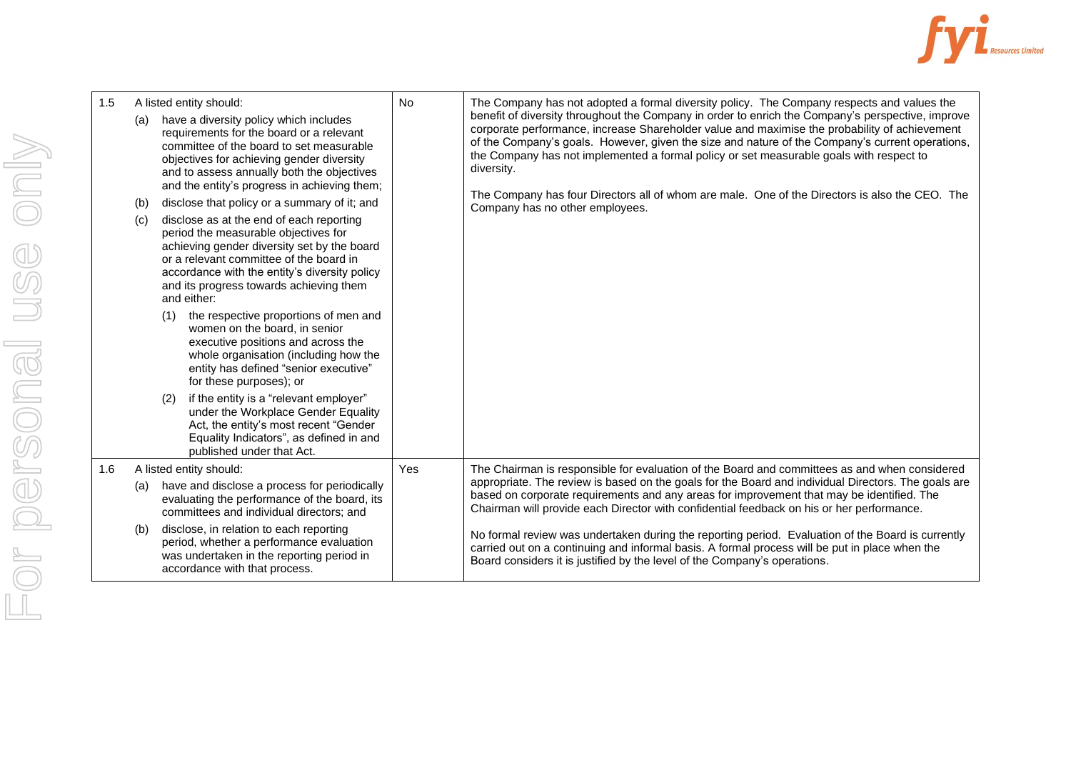

| 1.5 | A listed entity should:                                                                                                                                                                                                                                                                                                                                                                                                                                                                                                                                                                                                                                                                                                                                                                                                                                                                                                                                             | No  | The Company has not adopted a formal diversity policy. The Company respects and values the                                                                                                                                                                                                                                                                                                                                                                                                                                                          |
|-----|---------------------------------------------------------------------------------------------------------------------------------------------------------------------------------------------------------------------------------------------------------------------------------------------------------------------------------------------------------------------------------------------------------------------------------------------------------------------------------------------------------------------------------------------------------------------------------------------------------------------------------------------------------------------------------------------------------------------------------------------------------------------------------------------------------------------------------------------------------------------------------------------------------------------------------------------------------------------|-----|-----------------------------------------------------------------------------------------------------------------------------------------------------------------------------------------------------------------------------------------------------------------------------------------------------------------------------------------------------------------------------------------------------------------------------------------------------------------------------------------------------------------------------------------------------|
|     | have a diversity policy which includes<br>(a)<br>requirements for the board or a relevant<br>committee of the board to set measurable<br>objectives for achieving gender diversity<br>and to assess annually both the objectives<br>and the entity's progress in achieving them;<br>disclose that policy or a summary of it; and<br>(b)<br>disclose as at the end of each reporting<br>(c)<br>period the measurable objectives for<br>achieving gender diversity set by the board<br>or a relevant committee of the board in<br>accordance with the entity's diversity policy<br>and its progress towards achieving them<br>and either:<br>the respective proportions of men and<br>(1)<br>women on the board, in senior<br>executive positions and across the<br>whole organisation (including how the<br>entity has defined "senior executive"<br>for these purposes); or<br>if the entity is a "relevant employer"<br>(2)<br>under the Workplace Gender Equality |     | benefit of diversity throughout the Company in order to enrich the Company's perspective, improve<br>corporate performance, increase Shareholder value and maximise the probability of achievement<br>of the Company's goals. However, given the size and nature of the Company's current operations,<br>the Company has not implemented a formal policy or set measurable goals with respect to<br>diversity.<br>The Company has four Directors all of whom are male. One of the Directors is also the CEO. The<br>Company has no other employees. |
|     | Act, the entity's most recent "Gender<br>Equality Indicators", as defined in and<br>published under that Act.                                                                                                                                                                                                                                                                                                                                                                                                                                                                                                                                                                                                                                                                                                                                                                                                                                                       |     |                                                                                                                                                                                                                                                                                                                                                                                                                                                                                                                                                     |
| 1.6 | A listed entity should:                                                                                                                                                                                                                                                                                                                                                                                                                                                                                                                                                                                                                                                                                                                                                                                                                                                                                                                                             | Yes | The Chairman is responsible for evaluation of the Board and committees as and when considered                                                                                                                                                                                                                                                                                                                                                                                                                                                       |
|     | have and disclose a process for periodically<br>(a)<br>evaluating the performance of the board, its<br>committees and individual directors; and                                                                                                                                                                                                                                                                                                                                                                                                                                                                                                                                                                                                                                                                                                                                                                                                                     |     | appropriate. The review is based on the goals for the Board and individual Directors. The goals are<br>based on corporate requirements and any areas for improvement that may be identified. The<br>Chairman will provide each Director with confidential feedback on his or her performance.                                                                                                                                                                                                                                                       |
|     | disclose, in relation to each reporting<br>(b)<br>period, whether a performance evaluation<br>was undertaken in the reporting period in<br>accordance with that process.                                                                                                                                                                                                                                                                                                                                                                                                                                                                                                                                                                                                                                                                                                                                                                                            |     | No formal review was undertaken during the reporting period. Evaluation of the Board is currently<br>carried out on a continuing and informal basis. A formal process will be put in place when the<br>Board considers it is justified by the level of the Company's operations.                                                                                                                                                                                                                                                                    |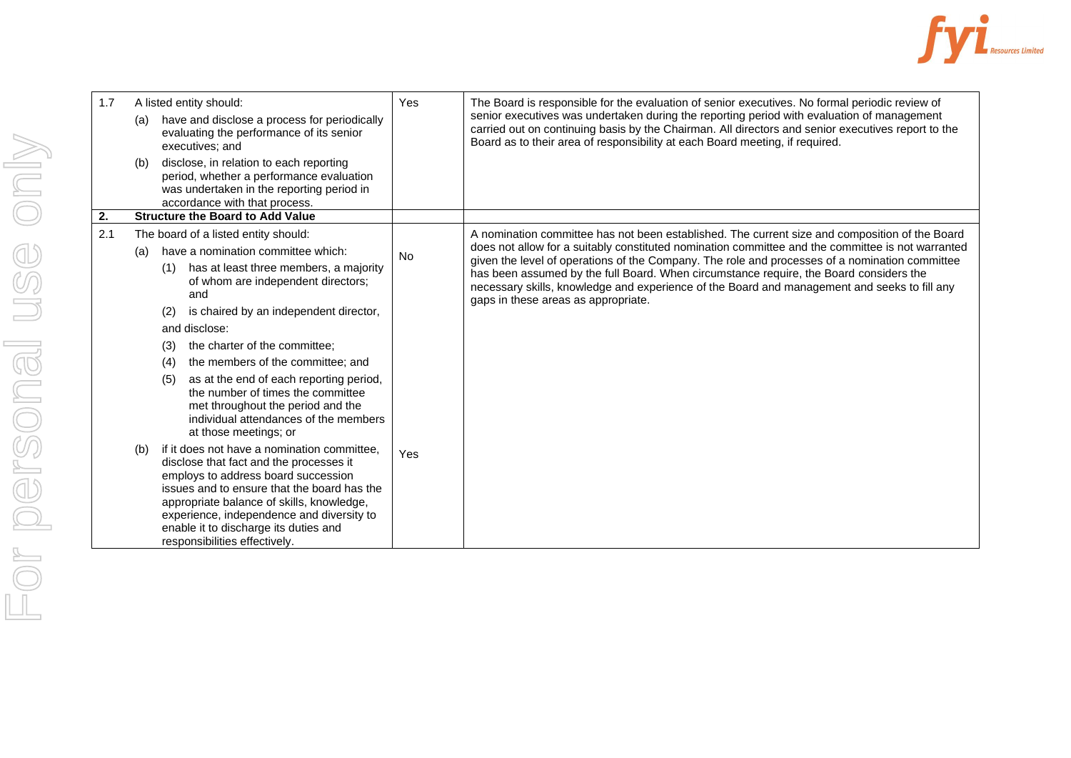

| 1.7              |     | A listed entity should:                                                                                                                                                                                                                                                                                                                          | Yes                                 | The Board is responsible for the evaluation of senior executives. No formal periodic review of                                                                                                                                                                                           |
|------------------|-----|--------------------------------------------------------------------------------------------------------------------------------------------------------------------------------------------------------------------------------------------------------------------------------------------------------------------------------------------------|-------------------------------------|------------------------------------------------------------------------------------------------------------------------------------------------------------------------------------------------------------------------------------------------------------------------------------------|
|                  | (a) | have and disclose a process for periodically<br>evaluating the performance of its senior<br>executives; and                                                                                                                                                                                                                                      |                                     | senior executives was undertaken during the reporting period with evaluation of management<br>carried out on continuing basis by the Chairman. All directors and senior executives report to the<br>Board as to their area of responsibility at each Board meeting, if required.         |
|                  | (b) | disclose, in relation to each reporting<br>period, whether a performance evaluation<br>was undertaken in the reporting period in<br>accordance with that process.                                                                                                                                                                                |                                     |                                                                                                                                                                                                                                                                                          |
| $\overline{2}$ . |     | <b>Structure the Board to Add Value</b>                                                                                                                                                                                                                                                                                                          |                                     |                                                                                                                                                                                                                                                                                          |
| 2.1              |     | The board of a listed entity should:                                                                                                                                                                                                                                                                                                             |                                     | A nomination committee has not been established. The current size and composition of the Board                                                                                                                                                                                           |
|                  | (a) | have a nomination committee which:                                                                                                                                                                                                                                                                                                               | <b>No</b>                           | does not allow for a suitably constituted nomination committee and the committee is not warranted                                                                                                                                                                                        |
|                  | (1) | has at least three members, a majority<br>of whom are independent directors;<br>and                                                                                                                                                                                                                                                              | gaps in these areas as appropriate. | given the level of operations of the Company. The role and processes of a nomination committee<br>has been assumed by the full Board. When circumstance require, the Board considers the<br>necessary skills, knowledge and experience of the Board and management and seeks to fill any |
|                  | (2) | is chaired by an independent director,                                                                                                                                                                                                                                                                                                           |                                     |                                                                                                                                                                                                                                                                                          |
|                  |     | and disclose:                                                                                                                                                                                                                                                                                                                                    |                                     |                                                                                                                                                                                                                                                                                          |
|                  | (3) | the charter of the committee;                                                                                                                                                                                                                                                                                                                    |                                     |                                                                                                                                                                                                                                                                                          |
|                  | (4) | the members of the committee; and                                                                                                                                                                                                                                                                                                                |                                     |                                                                                                                                                                                                                                                                                          |
|                  | (5) | as at the end of each reporting period,<br>the number of times the committee<br>met throughout the period and the<br>individual attendances of the members<br>at those meetings; or                                                                                                                                                              |                                     |                                                                                                                                                                                                                                                                                          |
|                  | (b) | if it does not have a nomination committee.<br>disclose that fact and the processes it<br>employs to address board succession<br>issues and to ensure that the board has the<br>appropriate balance of skills, knowledge,<br>experience, independence and diversity to<br>enable it to discharge its duties and<br>responsibilities effectively. | Yes                                 |                                                                                                                                                                                                                                                                                          |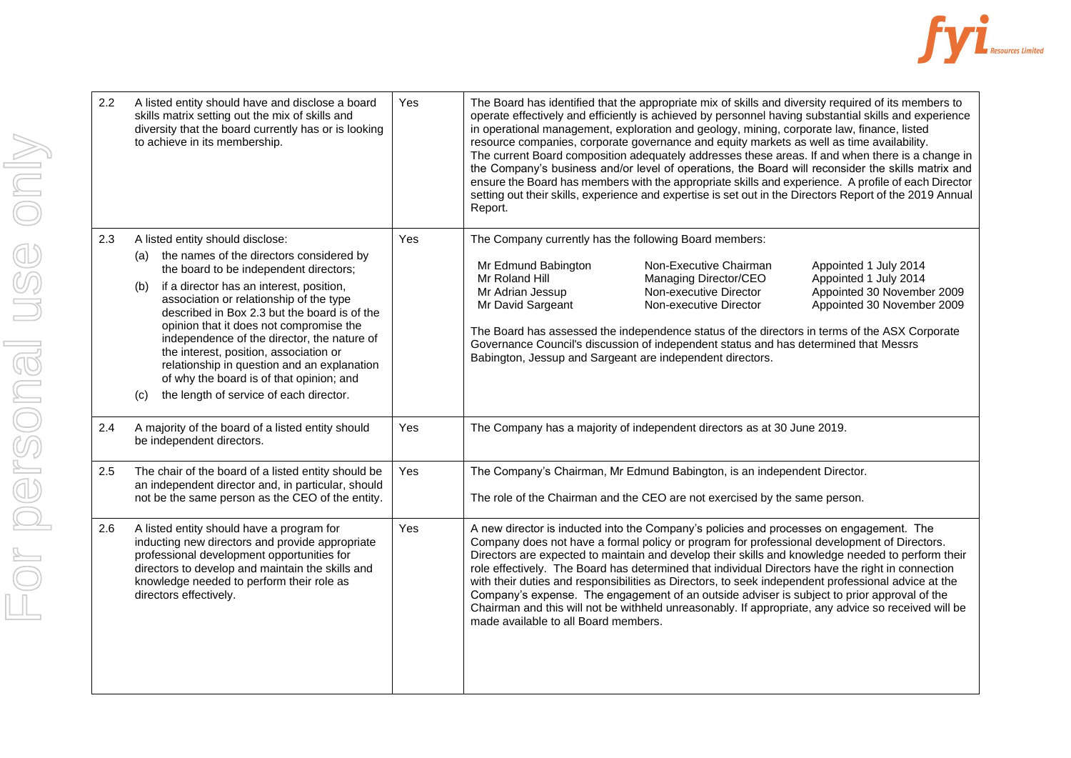

| A listed entity should have and disclose a board<br>skills matrix setting out the mix of skills and<br>diversity that the board currently has or is looking<br>to achieve in its membership.                                                                                                                                                                                                                                                                                                                                                                 | Yes | The Board has identified that the appropriate mix of skills and diversity required of its members to<br>operate effectively and efficiently is achieved by personnel having substantial skills and experience<br>in operational management, exploration and geology, mining, corporate law, finance, listed<br>resource companies, corporate governance and equity markets as well as time availability.<br>The current Board composition adequately addresses these areas. If and when there is a change in<br>the Company's business and/or level of operations, the Board will reconsider the skills matrix and<br>ensure the Board has members with the appropriate skills and experience. A profile of each Director<br>setting out their skills, experience and expertise is set out in the Directors Report of the 2019 Annual<br>Report. |
|--------------------------------------------------------------------------------------------------------------------------------------------------------------------------------------------------------------------------------------------------------------------------------------------------------------------------------------------------------------------------------------------------------------------------------------------------------------------------------------------------------------------------------------------------------------|-----|--------------------------------------------------------------------------------------------------------------------------------------------------------------------------------------------------------------------------------------------------------------------------------------------------------------------------------------------------------------------------------------------------------------------------------------------------------------------------------------------------------------------------------------------------------------------------------------------------------------------------------------------------------------------------------------------------------------------------------------------------------------------------------------------------------------------------------------------------|
| A listed entity should disclose:<br>the names of the directors considered by<br>(a)<br>the board to be independent directors;<br>if a director has an interest, position,<br>(b)<br>association or relationship of the type<br>described in Box 2.3 but the board is of the<br>opinion that it does not compromise the<br>independence of the director, the nature of<br>the interest, position, association or<br>relationship in question and an explanation<br>of why the board is of that opinion; and<br>the length of service of each director.<br>(C) | Yes | The Company currently has the following Board members:<br>Mr Edmund Babington<br>Non-Executive Chairman<br>Appointed 1 July 2014<br>Mr Roland Hill<br>Appointed 1 July 2014<br>Managing Director/CEO<br>Mr Adrian Jessup<br>Non-executive Director<br>Appointed 30 November 2009<br>Appointed 30 November 2009<br>Mr David Sargeant<br>Non-executive Director<br>The Board has assessed the independence status of the directors in terms of the ASX Corporate<br>Governance Council's discussion of independent status and has determined that Messrs<br>Babington, Jessup and Sargeant are independent directors.                                                                                                                                                                                                                              |
| A majority of the board of a listed entity should<br>be independent directors.                                                                                                                                                                                                                                                                                                                                                                                                                                                                               | Yes | The Company has a majority of independent directors as at 30 June 2019.                                                                                                                                                                                                                                                                                                                                                                                                                                                                                                                                                                                                                                                                                                                                                                          |
| The chair of the board of a listed entity should be<br>an independent director and, in particular, should<br>not be the same person as the CEO of the entity.                                                                                                                                                                                                                                                                                                                                                                                                | Yes | The Company's Chairman, Mr Edmund Babington, is an independent Director.<br>The role of the Chairman and the CEO are not exercised by the same person.                                                                                                                                                                                                                                                                                                                                                                                                                                                                                                                                                                                                                                                                                           |
| A listed entity should have a program for<br>inducting new directors and provide appropriate<br>professional development opportunities for<br>directors to develop and maintain the skills and<br>knowledge needed to perform their role as<br>directors effectively.                                                                                                                                                                                                                                                                                        | Yes | A new director is inducted into the Company's policies and processes on engagement. The<br>Company does not have a formal policy or program for professional development of Directors.<br>Directors are expected to maintain and develop their skills and knowledge needed to perform their<br>role effectively. The Board has determined that individual Directors have the right in connection<br>with their duties and responsibilities as Directors, to seek independent professional advice at the<br>Company's expense. The engagement of an outside adviser is subject to prior approval of the<br>Chairman and this will not be withheld unreasonably. If appropriate, any advice so received will be<br>made available to all Board members.                                                                                            |
|                                                                                                                                                                                                                                                                                                                                                                                                                                                                                                                                                              |     |                                                                                                                                                                                                                                                                                                                                                                                                                                                                                                                                                                                                                                                                                                                                                                                                                                                  |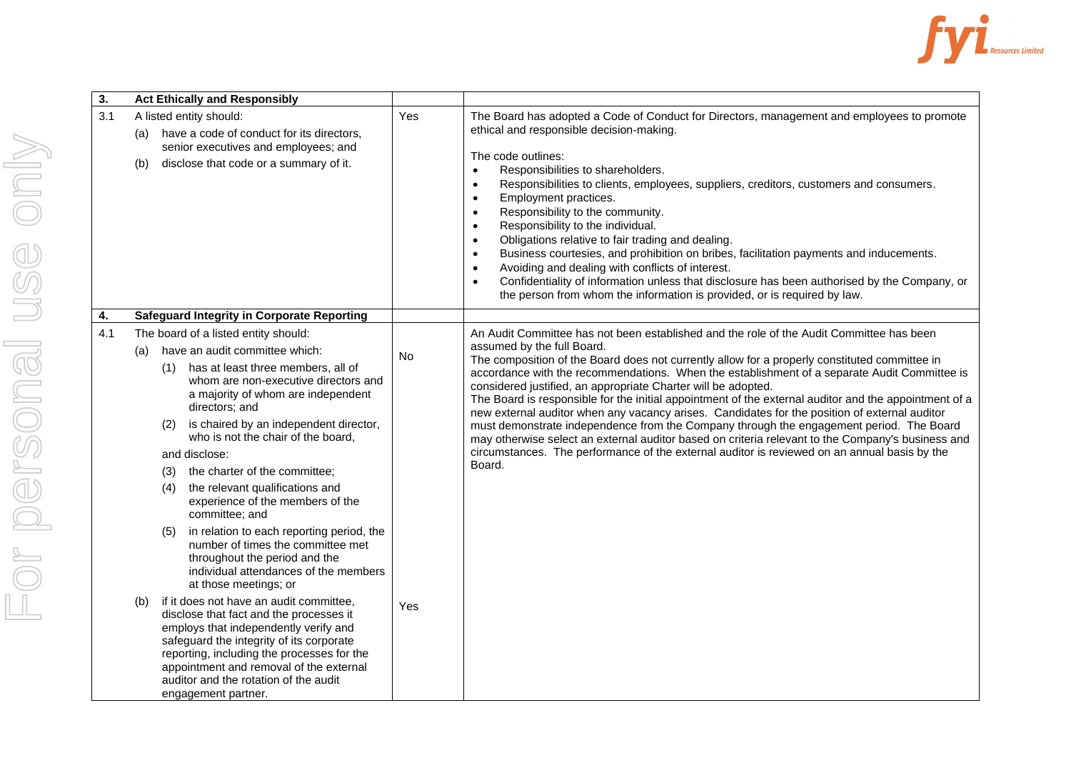

| $\overline{3}$ . | <b>Act Ethically and Responsibly</b>                                                                                                                                                                                                                                                                                                                                                                                                                                                                                                |     |                                                                                                                                                                                                                                                                                                                                                                                                                                                                                                                                                                                                                                                                                                                                                                                                                                                                                                              |
|------------------|-------------------------------------------------------------------------------------------------------------------------------------------------------------------------------------------------------------------------------------------------------------------------------------------------------------------------------------------------------------------------------------------------------------------------------------------------------------------------------------------------------------------------------------|-----|--------------------------------------------------------------------------------------------------------------------------------------------------------------------------------------------------------------------------------------------------------------------------------------------------------------------------------------------------------------------------------------------------------------------------------------------------------------------------------------------------------------------------------------------------------------------------------------------------------------------------------------------------------------------------------------------------------------------------------------------------------------------------------------------------------------------------------------------------------------------------------------------------------------|
| 3.1              | A listed entity should:<br>have a code of conduct for its directors,<br>(a)<br>senior executives and employees; and<br>disclose that code or a summary of it.<br>(b)                                                                                                                                                                                                                                                                                                                                                                | Yes | The Board has adopted a Code of Conduct for Directors, management and employees to promote<br>ethical and responsible decision-making.<br>The code outlines:<br>Responsibilities to shareholders.<br>$\bullet$<br>Responsibilities to clients, employees, suppliers, creditors, customers and consumers.<br>$\bullet$<br>Employment practices.<br>$\bullet$<br>Responsibility to the community.<br>$\bullet$<br>Responsibility to the individual.<br>$\bullet$<br>Obligations relative to fair trading and dealing.<br>$\bullet$<br>Business courtesies, and prohibition on bribes, facilitation payments and inducements.<br>$\bullet$<br>Avoiding and dealing with conflicts of interest.<br>$\bullet$<br>Confidentiality of information unless that disclosure has been authorised by the Company, or<br>$\bullet$<br>the person from whom the information is provided, or is required by law.            |
| 4.               | <b>Safeguard Integrity in Corporate Reporting</b>                                                                                                                                                                                                                                                                                                                                                                                                                                                                                   |     |                                                                                                                                                                                                                                                                                                                                                                                                                                                                                                                                                                                                                                                                                                                                                                                                                                                                                                              |
| 4.1              | The board of a listed entity should:<br>have an audit committee which:<br>(a)<br>has at least three members, all of<br>(1)<br>whom are non-executive directors and<br>a majority of whom are independent<br>directors; and<br>is chaired by an independent director,<br>(2)<br>who is not the chair of the board,<br>and disclose:<br>the charter of the committee;<br>(3)<br>the relevant qualifications and<br>(4)<br>experience of the members of the<br>committee; and                                                          | No  | An Audit Committee has not been established and the role of the Audit Committee has been<br>assumed by the full Board.<br>The composition of the Board does not currently allow for a properly constituted committee in<br>accordance with the recommendations. When the establishment of a separate Audit Committee is<br>considered justified, an appropriate Charter will be adopted.<br>The Board is responsible for the initial appointment of the external auditor and the appointment of a<br>new external auditor when any vacancy arises. Candidates for the position of external auditor<br>must demonstrate independence from the Company through the engagement period. The Board<br>may otherwise select an external auditor based on criteria relevant to the Company's business and<br>circumstances. The performance of the external auditor is reviewed on an annual basis by the<br>Board. |
|                  | in relation to each reporting period, the<br>(5)<br>number of times the committee met<br>throughout the period and the<br>individual attendances of the members<br>at those meetings; or<br>if it does not have an audit committee,<br>(b)<br>disclose that fact and the processes it<br>employs that independently verify and<br>safeguard the integrity of its corporate<br>reporting, including the processes for the<br>appointment and removal of the external<br>auditor and the rotation of the audit<br>engagement partner. | Yes |                                                                                                                                                                                                                                                                                                                                                                                                                                                                                                                                                                                                                                                                                                                                                                                                                                                                                                              |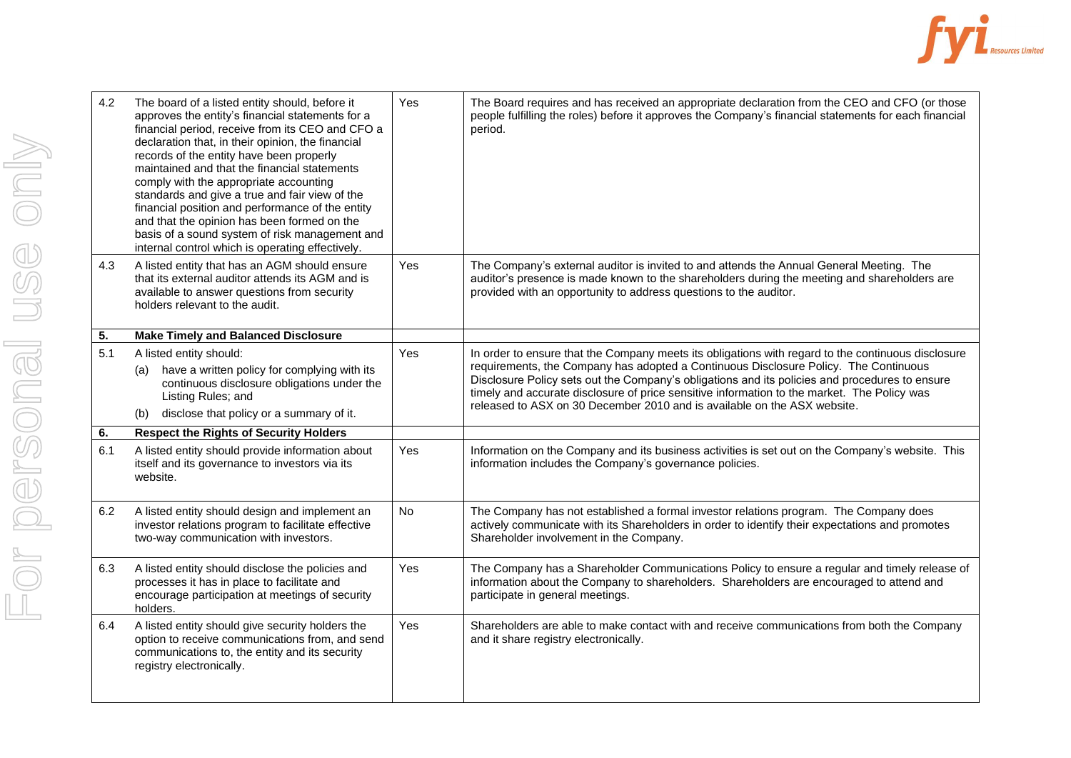

| 4.2 | The board of a listed entity should, before it<br>approves the entity's financial statements for a<br>financial period, receive from its CEO and CFO a<br>declaration that, in their opinion, the financial<br>records of the entity have been properly<br>maintained and that the financial statements<br>comply with the appropriate accounting<br>standards and give a true and fair view of the<br>financial position and performance of the entity<br>and that the opinion has been formed on the<br>basis of a sound system of risk management and<br>internal control which is operating effectively. | Yes | The Board requires and has received an appropriate declaration from the CEO and CFO (or those<br>people fulfilling the roles) before it approves the Company's financial statements for each financial<br>period.                                                                                                                                                 |
|-----|--------------------------------------------------------------------------------------------------------------------------------------------------------------------------------------------------------------------------------------------------------------------------------------------------------------------------------------------------------------------------------------------------------------------------------------------------------------------------------------------------------------------------------------------------------------------------------------------------------------|-----|-------------------------------------------------------------------------------------------------------------------------------------------------------------------------------------------------------------------------------------------------------------------------------------------------------------------------------------------------------------------|
| 4.3 | A listed entity that has an AGM should ensure<br>that its external auditor attends its AGM and is<br>available to answer questions from security<br>holders relevant to the audit.                                                                                                                                                                                                                                                                                                                                                                                                                           | Yes | The Company's external auditor is invited to and attends the Annual General Meeting. The<br>auditor's presence is made known to the shareholders during the meeting and shareholders are<br>provided with an opportunity to address questions to the auditor.                                                                                                     |
| 5.  | <b>Make Timely and Balanced Disclosure</b>                                                                                                                                                                                                                                                                                                                                                                                                                                                                                                                                                                   |     |                                                                                                                                                                                                                                                                                                                                                                   |
| 5.1 | A listed entity should:                                                                                                                                                                                                                                                                                                                                                                                                                                                                                                                                                                                      | Yes | In order to ensure that the Company meets its obligations with regard to the continuous disclosure                                                                                                                                                                                                                                                                |
|     | have a written policy for complying with its<br>(a)<br>continuous disclosure obligations under the<br>Listing Rules; and<br>disclose that policy or a summary of it.<br>(b)                                                                                                                                                                                                                                                                                                                                                                                                                                  |     | requirements, the Company has adopted a Continuous Disclosure Policy. The Continuous<br>Disclosure Policy sets out the Company's obligations and its policies and procedures to ensure<br>timely and accurate disclosure of price sensitive information to the market. The Policy was<br>released to ASX on 30 December 2010 and is available on the ASX website. |
| 6.  | <b>Respect the Rights of Security Holders</b>                                                                                                                                                                                                                                                                                                                                                                                                                                                                                                                                                                |     |                                                                                                                                                                                                                                                                                                                                                                   |
| 6.1 | A listed entity should provide information about<br>itself and its governance to investors via its<br>website.                                                                                                                                                                                                                                                                                                                                                                                                                                                                                               | Yes | Information on the Company and its business activities is set out on the Company's website. This<br>information includes the Company's governance policies.                                                                                                                                                                                                       |
| 6.2 | A listed entity should design and implement an<br>investor relations program to facilitate effective<br>two-way communication with investors.                                                                                                                                                                                                                                                                                                                                                                                                                                                                | No. | The Company has not established a formal investor relations program. The Company does<br>actively communicate with its Shareholders in order to identify their expectations and promotes<br>Shareholder involvement in the Company.                                                                                                                               |
| 6.3 | A listed entity should disclose the policies and<br>processes it has in place to facilitate and<br>encourage participation at meetings of security<br>holders.                                                                                                                                                                                                                                                                                                                                                                                                                                               | Yes | The Company has a Shareholder Communications Policy to ensure a regular and timely release of<br>information about the Company to shareholders. Shareholders are encouraged to attend and<br>participate in general meetings.                                                                                                                                     |
| 6.4 | A listed entity should give security holders the<br>option to receive communications from, and send<br>communications to, the entity and its security<br>registry electronically.                                                                                                                                                                                                                                                                                                                                                                                                                            | Yes | Shareholders are able to make contact with and receive communications from both the Company<br>and it share registry electronically.                                                                                                                                                                                                                              |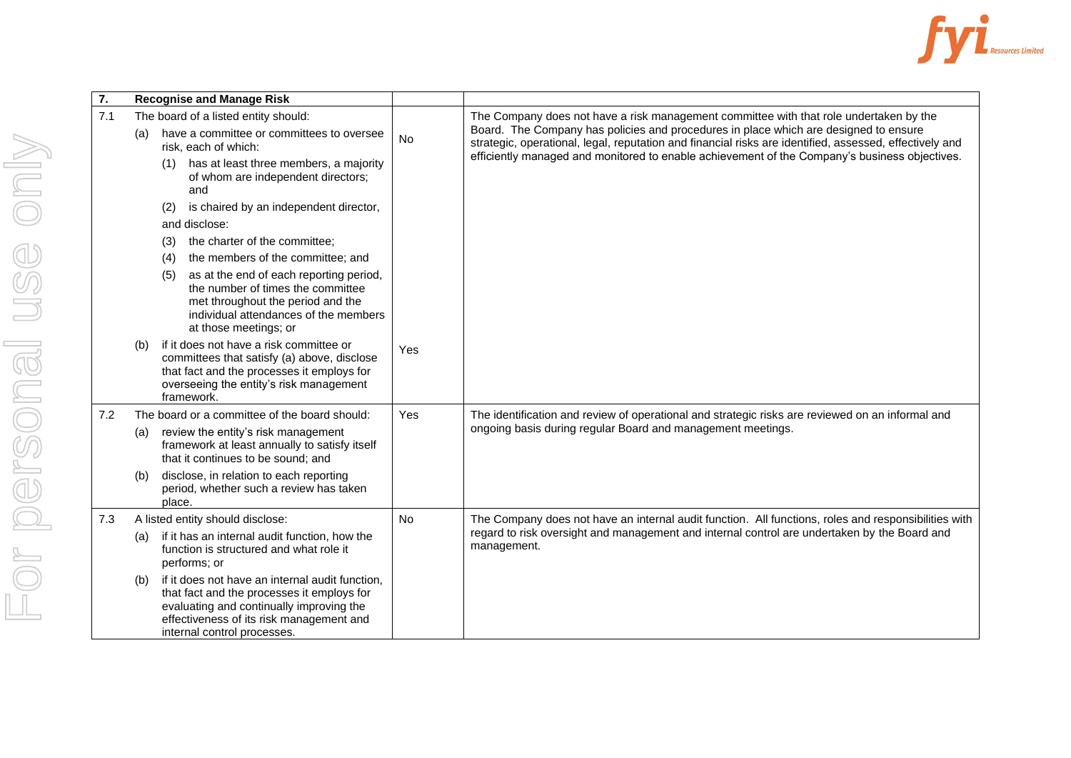

| 7.  |                                               | <b>Recognise and Manage Risk</b>                                                                                                                                                                                     |           |                                                                                                                                                                                                 |
|-----|-----------------------------------------------|----------------------------------------------------------------------------------------------------------------------------------------------------------------------------------------------------------------------|-----------|-------------------------------------------------------------------------------------------------------------------------------------------------------------------------------------------------|
| 7.1 |                                               | The board of a listed entity should:                                                                                                                                                                                 |           | The Company does not have a risk management committee with that role undertaken by the                                                                                                          |
|     | (a)                                           | have a committee or committees to oversee<br>risk, each of which:                                                                                                                                                    | No        | Board. The Company has policies and procedures in place which are designed to ensure<br>strategic, operational, legal, reputation and financial risks are identified, assessed, effectively and |
|     |                                               | has at least three members, a majority<br>(1)<br>of whom are independent directors;<br>and                                                                                                                           |           | efficiently managed and monitored to enable achievement of the Company's business objectives.                                                                                                   |
|     |                                               | is chaired by an independent director,<br>(2)                                                                                                                                                                        |           |                                                                                                                                                                                                 |
|     |                                               | and disclose:                                                                                                                                                                                                        |           |                                                                                                                                                                                                 |
|     |                                               | the charter of the committee;<br>(3)                                                                                                                                                                                 |           |                                                                                                                                                                                                 |
|     |                                               | the members of the committee: and<br>(4)                                                                                                                                                                             |           |                                                                                                                                                                                                 |
|     |                                               | as at the end of each reporting period,<br>(5)<br>the number of times the committee<br>met throughout the period and the<br>individual attendances of the members<br>at those meetings; or                           |           |                                                                                                                                                                                                 |
|     | (b)                                           | if it does not have a risk committee or<br>committees that satisfy (a) above, disclose<br>that fact and the processes it employs for<br>overseeing the entity's risk management<br>framework.                        | Yes       |                                                                                                                                                                                                 |
| 7.2 | The board or a committee of the board should: |                                                                                                                                                                                                                      | Yes       | The identification and review of operational and strategic risks are reviewed on an informal and                                                                                                |
|     | (a)                                           | review the entity's risk management<br>framework at least annually to satisfy itself<br>that it continues to be sound: and                                                                                           |           | ongoing basis during regular Board and management meetings.                                                                                                                                     |
|     | (b)                                           | disclose, in relation to each reporting<br>period, whether such a review has taken<br>place.                                                                                                                         |           |                                                                                                                                                                                                 |
| 7.3 |                                               | A listed entity should disclose:                                                                                                                                                                                     | <b>No</b> | The Company does not have an internal audit function. All functions, roles and responsibilities with                                                                                            |
|     | (a)                                           | if it has an internal audit function, how the<br>function is structured and what role it<br>performs; or                                                                                                             |           | regard to risk oversight and management and internal control are undertaken by the Board and<br>management.                                                                                     |
|     | (b)                                           | if it does not have an internal audit function,<br>that fact and the processes it employs for<br>evaluating and continually improving the<br>effectiveness of its risk management and<br>internal control processes. |           |                                                                                                                                                                                                 |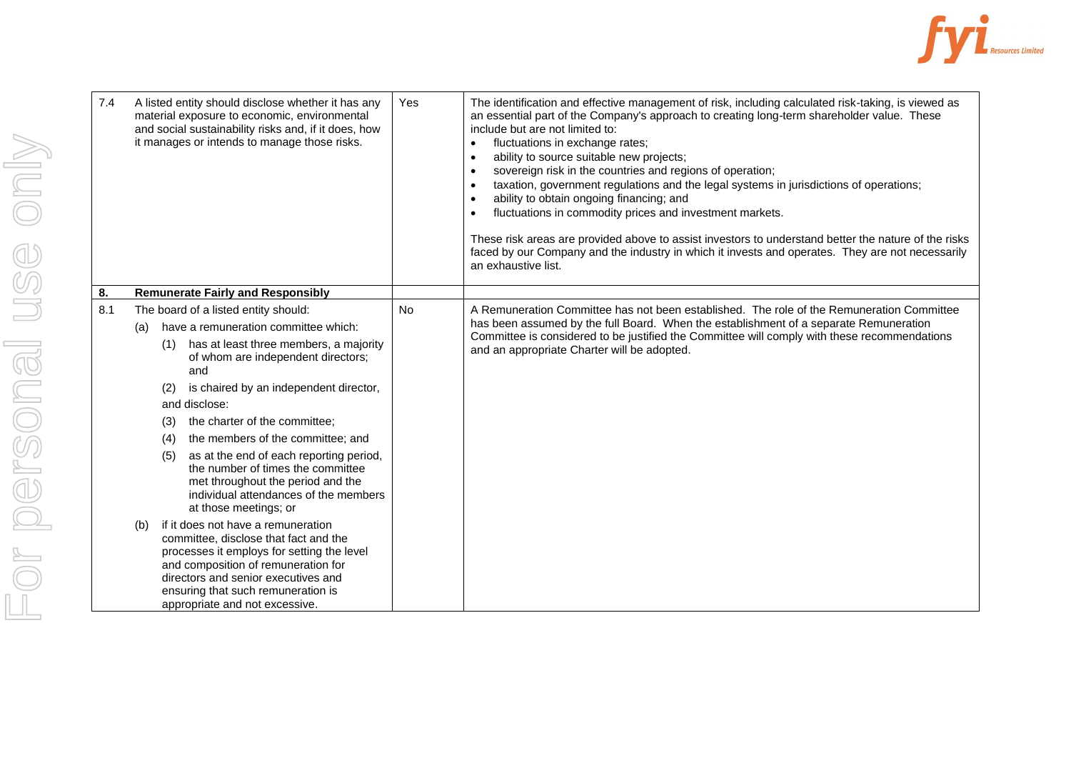

| 7.4 | A listed entity should disclose whether it has any<br>material exposure to economic, environmental<br>and social sustainability risks and, if it does, how<br>it manages or intends to manage those risks.                                                                                                                                                                                                                                                                                                                                                                                                                                                                                                                                                                                                                   | Yes       | The identification and effective management of risk, including calculated risk-taking, is viewed as<br>an essential part of the Company's approach to creating long-term shareholder value. These<br>include but are not limited to:<br>fluctuations in exchange rates;<br>$\bullet$<br>ability to source suitable new projects;<br>$\bullet$<br>sovereign risk in the countries and regions of operation;<br>$\bullet$<br>taxation, government regulations and the legal systems in jurisdictions of operations;<br>$\bullet$<br>ability to obtain ongoing financing; and<br>$\bullet$<br>fluctuations in commodity prices and investment markets.<br>These risk areas are provided above to assist investors to understand better the nature of the risks<br>faced by our Company and the industry in which it invests and operates. They are not necessarily<br>an exhaustive list. |
|-----|------------------------------------------------------------------------------------------------------------------------------------------------------------------------------------------------------------------------------------------------------------------------------------------------------------------------------------------------------------------------------------------------------------------------------------------------------------------------------------------------------------------------------------------------------------------------------------------------------------------------------------------------------------------------------------------------------------------------------------------------------------------------------------------------------------------------------|-----------|----------------------------------------------------------------------------------------------------------------------------------------------------------------------------------------------------------------------------------------------------------------------------------------------------------------------------------------------------------------------------------------------------------------------------------------------------------------------------------------------------------------------------------------------------------------------------------------------------------------------------------------------------------------------------------------------------------------------------------------------------------------------------------------------------------------------------------------------------------------------------------------|
| 8.  | <b>Remunerate Fairly and Responsibly</b>                                                                                                                                                                                                                                                                                                                                                                                                                                                                                                                                                                                                                                                                                                                                                                                     |           |                                                                                                                                                                                                                                                                                                                                                                                                                                                                                                                                                                                                                                                                                                                                                                                                                                                                                        |
| 8.1 | The board of a listed entity should:<br>have a remuneration committee which:<br>(a)<br>(1) has at least three members, a majority<br>of whom are independent directors;<br>and<br>is chaired by an independent director,<br>(2)<br>and disclose:<br>the charter of the committee;<br>(3)<br>the members of the committee; and<br>(4)<br>as at the end of each reporting period,<br>(5)<br>the number of times the committee<br>met throughout the period and the<br>individual attendances of the members<br>at those meetings; or<br>if it does not have a remuneration<br>(b)<br>committee, disclose that fact and the<br>processes it employs for setting the level<br>and composition of remuneration for<br>directors and senior executives and<br>ensuring that such remuneration is<br>appropriate and not excessive. | <b>No</b> | A Remuneration Committee has not been established. The role of the Remuneration Committee<br>has been assumed by the full Board. When the establishment of a separate Remuneration<br>Committee is considered to be justified the Committee will comply with these recommendations<br>and an appropriate Charter will be adopted.                                                                                                                                                                                                                                                                                                                                                                                                                                                                                                                                                      |